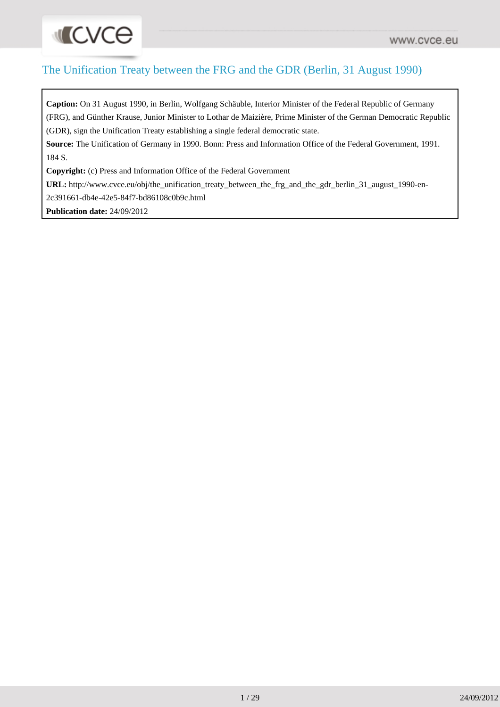# The Unification Treaty between the FRG and the GDR (Berlin, 31 August 1990)

**Caption:** On 31 August 1990, in Berlin, Wolfgang Schäuble, Interior Minister of the Federal Republic of Germany (FRG), and Günther Krause, Junior Minister to Lothar de Maizière, Prime Minister of the German Democratic Republic (GDR), sign the Unification Treaty establishing a single federal democratic state.

**Source:** The Unification of Germany in 1990. Bonn: Press and Information Office of the Federal Government, 1991. 184 S.

**Copyright:** (c) Press and Information Office of the Federal Government

**URL:** [http://www.cvce.eu/obj/the\\_unification\\_treaty\\_between\\_the\\_frg\\_and\\_the\\_gdr\\_berlin\\_31\\_august\\_1990-en-](http://www.cvce.eu/obj/the_unification_treaty_between_the_frg_and_the_gdr_berlin_31_august_1990-en-2c391661-db4e-42e5-84f7-bd86108c0b9c.html)

[2c391661-db4e-42e5-84f7-bd86108c0b9c.html](http://www.cvce.eu/obj/the_unification_treaty_between_the_frg_and_the_gdr_berlin_31_august_1990-en-2c391661-db4e-42e5-84f7-bd86108c0b9c.html)

**Publication date:** 24/09/2012

**INCACE**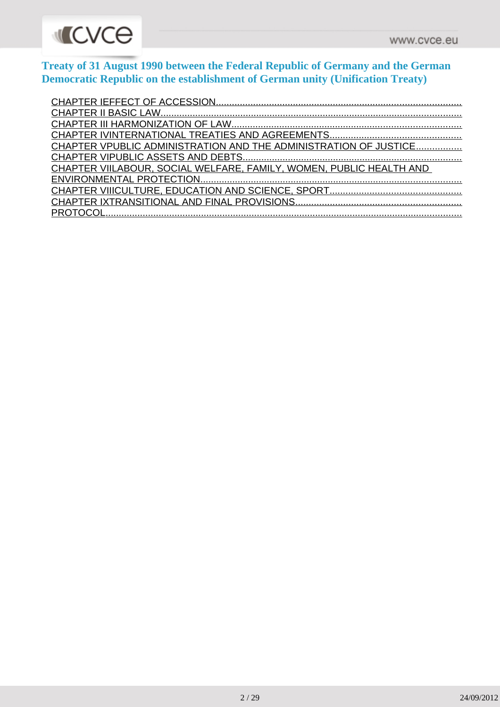

# **Treaty of 31 August 1990 between the Federal Republic of Germany and the German Democratic Republic on the establishment of German unity (Unification Treaty)**

| CHAPTER VPUBLIC ADMINISTRATION AND THE ADMINISTRATION OF JUSTICE    |
|---------------------------------------------------------------------|
|                                                                     |
| CHAPTER VIILABOUR, SOCIAL WELFARE, FAMILY, WOMEN, PUBLIC HEALTH AND |
|                                                                     |
|                                                                     |
|                                                                     |
|                                                                     |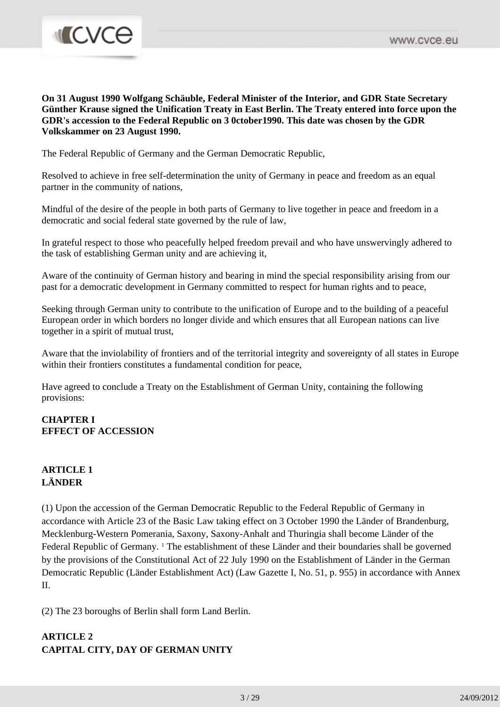

**On 31 August 1990 Wolfgang Schäuble, Federal Minister of the Interior, and GDR State Secretary Günther Krause signed the Unification Treaty in East Berlin. The Treaty entered into force upon the GDR's accession to the Federal Republic on 3 0ctober1990. This date was chosen by the GDR Volkskammer on 23 August 1990.**

The Federal Republic of Germany and the German Democratic Republic,

Resolved to achieve in free self-determination the unity of Germany in peace and freedom as an equal partner in the community of nations,

Mindful of the desire of the people in both parts of Germany to live together in peace and freedom in a democratic and social federal state governed by the rule of law,

In grateful respect to those who peacefully helped freedom prevail and who have unswervingly adhered to the task of establishing German unity and are achieving it,

Aware of the continuity of German history and bearing in mind the special responsibility arising from our past for a democratic development in Germany committed to respect for human rights and to peace,

Seeking through German unity to contribute to the unification of Europe and to the building of a peaceful European order in which borders no longer divide and which ensures that all European nations can live together in a spirit of mutual trust,

Aware that the inviolability of frontiers and of the territorial integrity and sovereignty of all states in Europe within their frontiers constitutes a fundamental condition for peace,

Have agreed to conclude a Treaty on the Establishment of German Unity, containing the following provisions:

#### **CHAPTER I EFFECT OF ACCESSION**

#### **ARTICLE 1 LÄNDER**

(1) Upon the accession of the German Democratic Republic to the Federal Republic of Germany in accordance with Article 23 of the Basic Law taking effect on 3 October 1990 the Länder of Brandenburg, Mecklenburg-Western Pomerania, Saxony, Saxony-Anhalt and Thuringia shall become Länder of the Federal Republic of Germany. <sup>1</sup> The establishment of these Länder and their boundaries shall be governed by the provisions of the Constitutional Act of 22 July 1990 on the Establishment of Länder in the German Democratic Republic (Länder Establishment Act) (Law Gazette I, No. 51, p. 955) in accordance with Annex II.

(2) The 23 boroughs of Berlin shall form Land Berlin.

### **ARTICLE 2 CAPITAL CITY, DAY OF GERMAN UNITY**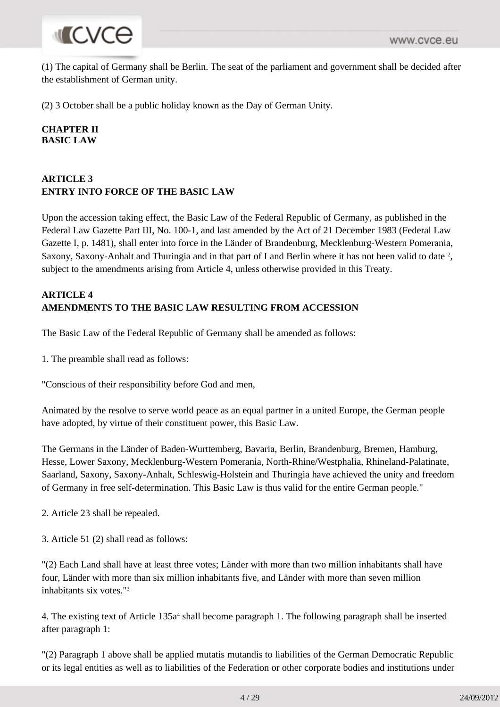# **INCVCE**

(1) The capital of Germany shall be Berlin. The seat of the parliament and government shall be decided after the establishment of German unity.

(2) 3 October shall be a public holiday known as the Day of German Unity.

### **CHAPTER II BASIC LAW**

# **ARTICLE 3 ENTRY INTO FORCE OF THE BASIC LAW**

Upon the accession taking effect, the Basic Law of the Federal Republic of Germany, as published in the Federal Law Gazette Part III, No. 100-1, and last amended by the Act of 21 December 1983 (Federal Law Gazette I, p. 1481), shall enter into force in the Länder of Brandenburg, Mecklenburg-Western Pomerania, Saxony, Saxony-Anhalt and Thuringia and in that part of Land Berlin where it has not been valid to date <sup>2</sup>, subject to the amendments arising from Article 4, unless otherwise provided in this Treaty.

### **ARTICLE 4 AMENDMENTS TO THE BASIC LAW RESULTING FROM ACCESSION**

The Basic Law of the Federal Republic of Germany shall be amended as follows:

1. The preamble shall read as follows:

"Conscious of their responsibility before God and men,

Animated by the resolve to serve world peace as an equal partner in a united Europe, the German people have adopted, by virtue of their constituent power, this Basic Law.

The Germans in the Länder of Baden-Wurttemberg, Bavaria, Berlin, Brandenburg, Bremen, Hamburg, Hesse, Lower Saxony, Mecklenburg-Western Pomerania, North-Rhine/Westphalia, Rhineland-Palatinate, Saarland, Saxony, Saxony-Anhalt, Schleswig-Holstein and Thuringia have achieved the unity and freedom of Germany in free self-determination. This Basic Law is thus valid for the entire German people."

- 2. Article 23 shall be repealed.
- 3. Article 51 (2) shall read as follows:

"(2) Each Land shall have at least three votes; Länder with more than two million inhabitants shall have four, Länder with more than six million inhabitants five, and Länder with more than seven million inhabitants six votes."<sup>3</sup>

4. The existing text of Article 135a<sup>4</sup> shall become paragraph 1. The following paragraph shall be inserted after paragraph 1:

"(2) Paragraph 1 above shall be applied mutatis mutandis to liabilities of the German Democratic Republic or its legal entities as well as to liabilities of the Federation or other corporate bodies and institutions under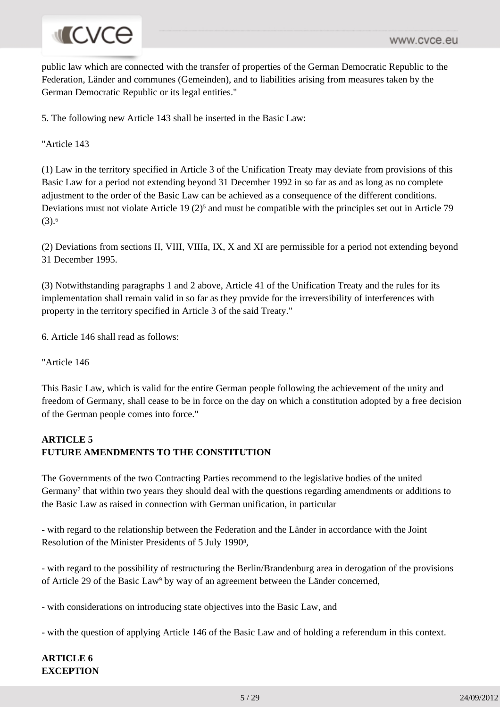# **INCVCE**

public law which are connected with the transfer of properties of the German Democratic Republic to the Federation, Länder and communes (Gemeinden), and to liabilities arising from measures taken by the German Democratic Republic or its legal entities."

5. The following new Article 143 shall be inserted in the Basic Law:

"Article 143

(1) Law in the territory specified in Article 3 of the Unification Treaty may deviate from provisions of this Basic Law for a period not extending beyond 31 December 1992 in so far as and as long as no complete adjustment to the order of the Basic Law can be achieved as a consequence of the different conditions. Deviations must not violate Article 19 (2)<sup>5</sup> and must be compatible with the principles set out in Article 79  $(3).6$ 

(2) Deviations from sections II, VIII, VIIIa, IX, X and XI are permissible for a period not extending beyond 31 December 1995.

(3) Notwithstanding paragraphs 1 and 2 above, Article 41 of the Unification Treaty and the rules for its implementation shall remain valid in so far as they provide for the irreversibility of interferences with property in the territory specified in Article 3 of the said Treaty."

6. Article 146 shall read as follows:

"Article 146

This Basic Law, which is valid for the entire German people following the achievement of the unity and freedom of Germany, shall cease to be in force on the day on which a constitution adopted by a free decision of the German people comes into force."

# **ARTICLE 5 FUTURE AMENDMENTS TO THE CONSTITUTION**

The Governments of the two Contracting Parties recommend to the legislative bodies of the united Germany<sup>7</sup> that within two years they should deal with the questions regarding amendments or additions to the Basic Law as raised in connection with German unification, in particular

- with regard to the relationship between the Federation and the Länder in accordance with the Joint Resolution of the Minister Presidents of 5 July 1990<sup>8</sup>,

- with regard to the possibility of restructuring the Berlin/Brandenburg area in derogation of the provisions of Article 29 of the Basic Law<sup>9</sup> by way of an agreement between the Länder concerned,

- with considerations on introducing state objectives into the Basic Law, and

- with the question of applying Article 146 of the Basic Law and of holding a referendum in this context.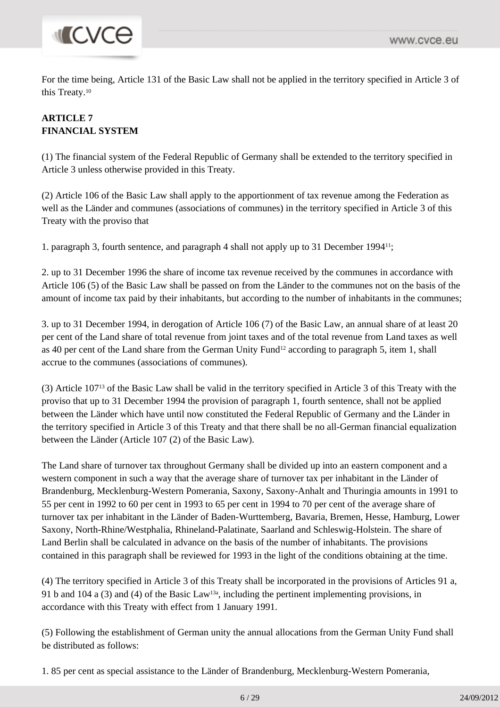

For the time being, Article 131 of the Basic Law shall not be applied in the territory specified in Article 3 of this Treaty.<sup>10</sup>

### **ARTICLE 7 FINANCIAL SYSTEM**

(1) The financial system of the Federal Republic of Germany shall be extended to the territory specified in Article 3 unless otherwise provided in this Treaty.

(2) Article 106 of the Basic Law shall apply to the apportionment of tax revenue among the Federation as well as the Länder and communes (associations of communes) in the territory specified in Article 3 of this Treaty with the proviso that

1. paragraph 3, fourth sentence, and paragraph 4 shall not apply up to 31 December 199411;

2. up to 31 December 1996 the share of income tax revenue received by the communes in accordance with Article 106 (5) of the Basic Law shall be passed on from the Länder to the communes not on the basis of the amount of income tax paid by their inhabitants, but according to the number of inhabitants in the communes;

3. up to 31 December 1994, in derogation of Article 106 (7) of the Basic Law, an annual share of at least 20 per cent of the Land share of total revenue from joint taxes and of the total revenue from Land taxes as well as 40 per cent of the Land share from the German Unity Fund<sup>12</sup> according to paragraph 5, item 1, shall accrue to the communes (associations of communes).

(3) Article 10713 of the Basic Law shall be valid in the territory specified in Article 3 of this Treaty with the proviso that up to 31 December 1994 the provision of paragraph 1, fourth sentence, shall not be applied between the Länder which have until now constituted the Federal Republic of Germany and the Länder in the territory specified in Article 3 of this Treaty and that there shall be no all-German financial equalization between the Länder (Article 107 (2) of the Basic Law).

The Land share of turnover tax throughout Germany shall be divided up into an eastern component and a western component in such a way that the average share of turnover tax per inhabitant in the Länder of Brandenburg, Mecklenburg-Western Pomerania, Saxony, Saxony-Anhalt and Thuringia amounts in 1991 to 55 per cent in 1992 to 60 per cent in 1993 to 65 per cent in 1994 to 70 per cent of the average share of turnover tax per inhabitant in the Länder of Baden-Wurttemberg, Bavaria, Bremen, Hesse, Hamburg, Lower Saxony, North-Rhine/Westphalia, Rhineland-Palatinate, Saarland and Schleswig-Holstein. The share of Land Berlin shall be calculated in advance on the basis of the number of inhabitants. The provisions contained in this paragraph shall be reviewed for 1993 in the light of the conditions obtaining at the time.

(4) The territory specified in Article 3 of this Treaty shall be incorporated in the provisions of Articles 91 a, 91 b and 104 a (3) and (4) of the Basic Law<sup>13a</sup>, including the pertinent implementing provisions, in accordance with this Treaty with effect from 1 January 1991.

(5) Following the establishment of German unity the annual allocations from the German Unity Fund shall be distributed as follows:

1. 85 per cent as special assistance to the Länder of Brandenburg, Mecklenburg-Western Pomerania,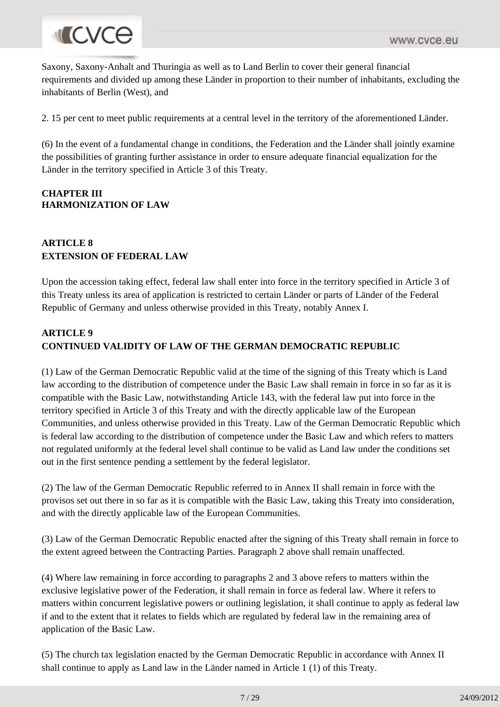# **MCVCe**

Saxony, Saxony-Anhalt and Thuringia as well as to Land Berlin to cover their general financial requirements and divided up among these Länder in proportion to their number of inhabitants, excluding the inhabitants of Berlin (West), and

2. 15 per cent to meet public requirements at a central level in the territory of the aforementioned Länder.

(6) In the event of a fundamental change in conditions, the Federation and the Länder shall jointly examine the possibilities of granting further assistance in order to ensure adequate financial equalization for the Länder in the territory specified in Article 3 of this Treaty.

#### **CHAPTER III HARMONIZATION OF LAW**

### **ARTICLE 8 EXTENSION OF FEDERAL LAW**

Upon the accession taking effect, federal law shall enter into force in the territory specified in Article 3 of this Treaty unless its area of application is restricted to certain Länder or parts of Länder of the Federal Republic of Germany and unless otherwise provided in this Treaty, notably Annex I.

# **ARTICLE 9 CONTINUED VALIDITY OF LAW OF THE GERMAN DEMOCRATIC REPUBLIC**

(1) Law of the German Democratic Republic valid at the time of the signing of this Treaty which is Land law according to the distribution of competence under the Basic Law shall remain in force in so far as it is compatible with the Basic Law, notwithstanding Article 143, with the federal law put into force in the territory specified in Article 3 of this Treaty and with the directly applicable law of the European Communities, and unless otherwise provided in this Treaty. Law of the German Democratic Republic which is federal law according to the distribution of competence under the Basic Law and which refers to matters not regulated uniformly at the federal level shall continue to be valid as Land law under the conditions set out in the first sentence pending a settlement by the federal legislator.

(2) The law of the German Democratic Republic referred to in Annex II shall remain in force with the provisos set out there in so far as it is compatible with the Basic Law, taking this Treaty into consideration, and with the directly applicable law of the European Communities.

(3) Law of the German Democratic Republic enacted after the signing of this Treaty shall remain in force to the extent agreed between the Contracting Parties. Paragraph 2 above shall remain unaffected.

(4) Where law remaining in force according to paragraphs 2 and 3 above refers to matters within the exclusive legislative power of the Federation, it shall remain in force as federal law. Where it refers to matters within concurrent legislative powers or outlining legislation, it shall continue to apply as federal law if and to the extent that it relates to fields which are regulated by federal law in the remaining area of application of the Basic Law.

(5) The church tax legislation enacted by the German Democratic Republic in accordance with Annex II shall continue to apply as Land law in the Länder named in Article 1 (1) of this Treaty.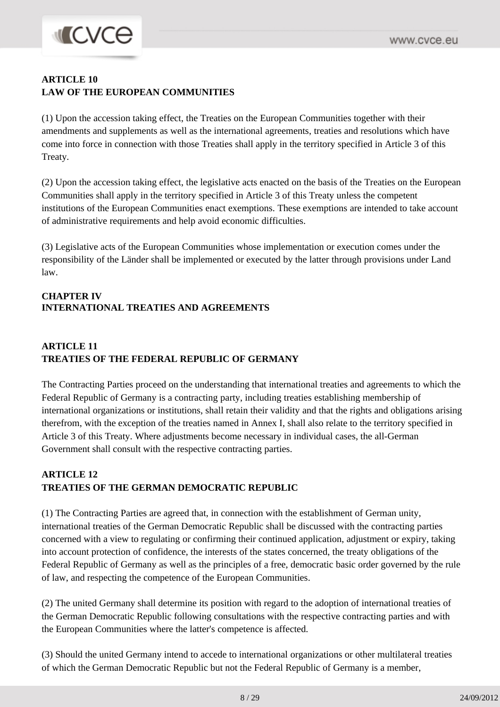### **ARTICLE 10 LAW OF THE EUROPEAN COMMUNITIES**

(1) Upon the accession taking effect, the Treaties on the European Communities together with their amendments and supplements as well as the international agreements, treaties and resolutions which have come into force in connection with those Treaties shall apply in the territory specified in Article 3 of this Treaty.

(2) Upon the accession taking effect, the legislative acts enacted on the basis of the Treaties on the European Communities shall apply in the territory specified in Article 3 of this Treaty unless the competent institutions of the European Communities enact exemptions. These exemptions are intended to take account of administrative requirements and help avoid economic difficulties.

(3) Legislative acts of the European Communities whose implementation or execution comes under the responsibility of the Länder shall be implemented or executed by the latter through provisions under Land law.

### **CHAPTER IV INTERNATIONAL TREATIES AND AGREEMENTS**

### **ARTICLE 11 TREATIES OF THE FEDERAL REPUBLIC OF GERMANY**

The Contracting Parties proceed on the understanding that international treaties and agreements to which the Federal Republic of Germany is a contracting party, including treaties establishing membership of international organizations or institutions, shall retain their validity and that the rights and obligations arising therefrom, with the exception of the treaties named in Annex I, shall also relate to the territory specified in Article 3 of this Treaty. Where adjustments become necessary in individual cases, the all-German Government shall consult with the respective contracting parties.

## **ARTICLE 12 TREATIES OF THE GERMAN DEMOCRATIC REPUBLIC**

(1) The Contracting Parties are agreed that, in connection with the establishment of German unity, international treaties of the German Democratic Republic shall be discussed with the contracting parties concerned with a view to regulating or confirming their continued application, adjustment or expiry, taking into account protection of confidence, the interests of the states concerned, the treaty obligations of the Federal Republic of Germany as well as the principles of a free, democratic basic order governed by the rule of law, and respecting the competence of the European Communities.

(2) The united Germany shall determine its position with regard to the adoption of international treaties of the German Democratic Republic following consultations with the respective contracting parties and with the European Communities where the latter's competence is affected.

(3) Should the united Germany intend to accede to international organizations or other multilateral treaties of which the German Democratic Republic but not the Federal Republic of Germany is a member,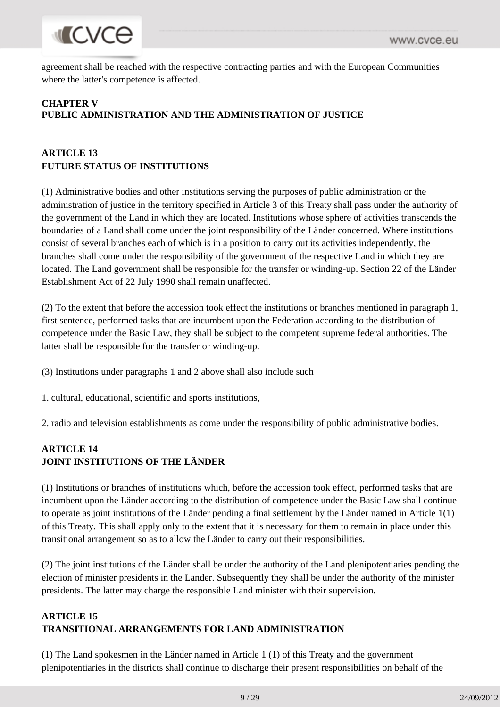agreement shall be reached with the respective contracting parties and with the European Communities where the latter's competence is affected.

## **CHAPTER V PUBLIC ADMINISTRATION AND THE ADMINISTRATION OF JUSTICE**

## **ARTICLE 13 FUTURE STATUS OF INSTITUTIONS**

(1) Administrative bodies and other institutions serving the purposes of public administration or the administration of justice in the territory specified in Article 3 of this Treaty shall pass under the authority of the government of the Land in which they are located. Institutions whose sphere of activities transcends the boundaries of a Land shall come under the joint responsibility of the Länder concerned. Where institutions consist of several branches each of which is in a position to carry out its activities independently, the branches shall come under the responsibility of the government of the respective Land in which they are located. The Land government shall be responsible for the transfer or winding-up. Section 22 of the Länder Establishment Act of 22 July 1990 shall remain unaffected.

(2) To the extent that before the accession took effect the institutions or branches mentioned in paragraph 1, first sentence, performed tasks that are incumbent upon the Federation according to the distribution of competence under the Basic Law, they shall be subject to the competent supreme federal authorities. The latter shall be responsible for the transfer or winding-up.

(3) Institutions under paragraphs 1 and 2 above shall also include such

1. cultural, educational, scientific and sports institutions,

2. radio and television establishments as come under the responsibility of public administrative bodies.

## **ARTICLE 14 JOINT INSTITUTIONS OF THE LÄNDER**

(1) Institutions or branches of institutions which, before the accession took effect, performed tasks that are incumbent upon the Länder according to the distribution of competence under the Basic Law shall continue to operate as joint institutions of the Länder pending a final settlement by the Länder named in Article 1(1) of this Treaty. This shall apply only to the extent that it is necessary for them to remain in place under this transitional arrangement so as to allow the Länder to carry out their responsibilities.

(2) The joint institutions of the Länder shall be under the authority of the Land plenipotentiaries pending the election of minister presidents in the Länder. Subsequently they shall be under the authority of the minister presidents. The latter may charge the responsible Land minister with their supervision.

### **ARTICLE 15 TRANSITIONAL ARRANGEMENTS FOR LAND ADMINISTRATION**

(1) The Land spokesmen in the Länder named in Article 1 (1) of this Treaty and the government plenipotentiaries in the districts shall continue to discharge their present responsibilities on behalf of the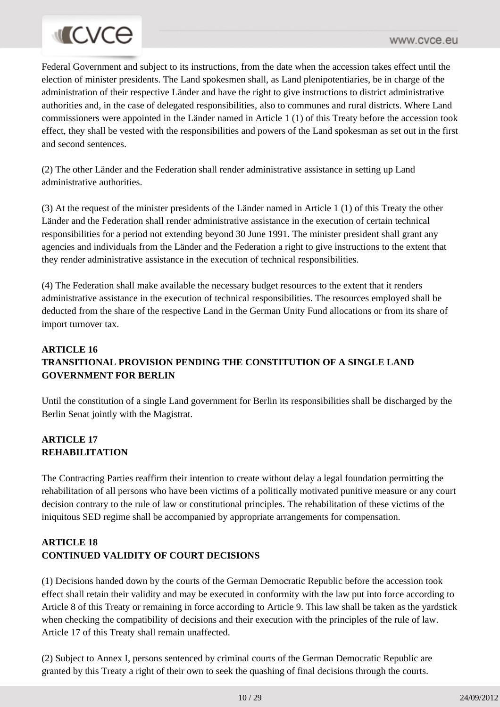# **MCVCe**

Federal Government and subject to its instructions, from the date when the accession takes effect until the election of minister presidents. The Land spokesmen shall, as Land plenipotentiaries, be in charge of the administration of their respective Länder and have the right to give instructions to district administrative authorities and, in the case of delegated responsibilities, also to communes and rural districts. Where Land commissioners were appointed in the Länder named in Article 1 (1) of this Treaty before the accession took effect, they shall be vested with the responsibilities and powers of the Land spokesman as set out in the first and second sentences.

(2) The other Länder and the Federation shall render administrative assistance in setting up Land administrative authorities.

(3) At the request of the minister presidents of the Länder named in Article 1 (1) of this Treaty the other Länder and the Federation shall render administrative assistance in the execution of certain technical responsibilities for a period not extending beyond 30 June 1991. The minister president shall grant any agencies and individuals from the Länder and the Federation a right to give instructions to the extent that they render administrative assistance in the execution of technical responsibilities.

(4) The Federation shall make available the necessary budget resources to the extent that it renders administrative assistance in the execution of technical responsibilities. The resources employed shall be deducted from the share of the respective Land in the German Unity Fund allocations or from its share of import turnover tax.

# **ARTICLE 16 TRANSITIONAL PROVISION PENDING THE CONSTITUTION OF A SINGLE LAND GOVERNMENT FOR BERLIN**

Until the constitution of a single Land government for Berlin its responsibilities shall be discharged by the Berlin Senat jointly with the Magistrat.

## **ARTICLE 17 REHABILITATION**

The Contracting Parties reaffirm their intention to create without delay a legal foundation permitting the rehabilitation of all persons who have been victims of a politically motivated punitive measure or any court decision contrary to the rule of law or constitutional principles. The rehabilitation of these victims of the iniquitous SED regime shall be accompanied by appropriate arrangements for compensation.

# **ARTICLE 18 CONTINUED VALIDITY OF COURT DECISIONS**

(1) Decisions handed down by the courts of the German Democratic Republic before the accession took effect shall retain their validity and may be executed in conformity with the law put into force according to Article 8 of this Treaty or remaining in force according to Article 9. This law shall be taken as the yardstick when checking the compatibility of decisions and their execution with the principles of the rule of law. Article 17 of this Treaty shall remain unaffected.

(2) Subject to Annex I, persons sentenced by criminal courts of the German Democratic Republic are granted by this Treaty a right of their own to seek the quashing of final decisions through the courts.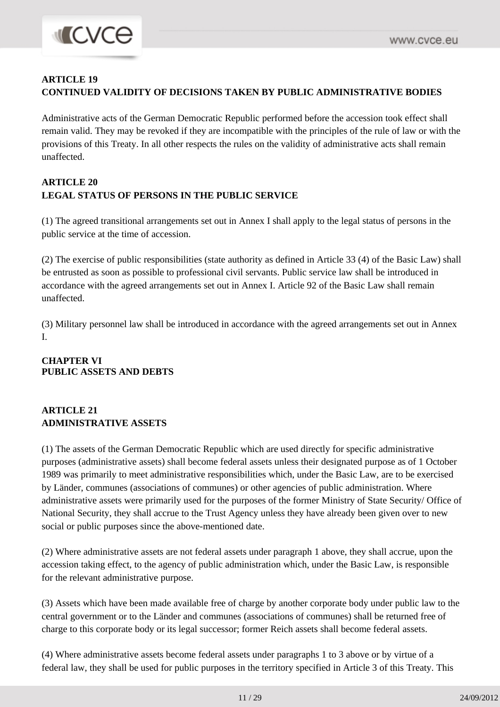#### **ARTICLE 19**

# **CONTINUED VALIDITY OF DECISIONS TAKEN BY PUBLIC ADMINISTRATIVE BODIES**

Administrative acts of the German Democratic Republic performed before the accession took effect shall remain valid. They may be revoked if they are incompatible with the principles of the rule of law or with the provisions of this Treaty. In all other respects the rules on the validity of administrative acts shall remain unaffected.

## **ARTICLE 20 LEGAL STATUS OF PERSONS IN THE PUBLIC SERVICE**

(1) The agreed transitional arrangements set out in Annex I shall apply to the legal status of persons in the public service at the time of accession.

(2) The exercise of public responsibilities (state authority as defined in Article 33 (4) of the Basic Law) shall be entrusted as soon as possible to professional civil servants. Public service law shall be introduced in accordance with the agreed arrangements set out in Annex I. Article 92 of the Basic Law shall remain unaffected.

(3) Military personnel law shall be introduced in accordance with the agreed arrangements set out in Annex I.

### **CHAPTER VI PUBLIC ASSETS AND DEBTS**

## **ARTICLE 21 ADMINISTRATIVE ASSETS**

(1) The assets of the German Democratic Republic which are used directly for specific administrative purposes (administrative assets) shall become federal assets unless their designated purpose as of 1 October 1989 was primarily to meet administrative responsibilities which, under the Basic Law, are to be exercised by Länder, communes (associations of communes) or other agencies of public administration. Where administrative assets were primarily used for the purposes of the former Ministry of State Security/ Office of National Security, they shall accrue to the Trust Agency unless they have already been given over to new social or public purposes since the above-mentioned date.

(2) Where administrative assets are not federal assets under paragraph 1 above, they shall accrue, upon the accession taking effect, to the agency of public administration which, under the Basic Law, is responsible for the relevant administrative purpose.

(3) Assets which have been made available free of charge by another corporate body under public law to the central government or to the Länder and communes (associations of communes) shall be returned free of charge to this corporate body or its legal successor; former Reich assets shall become federal assets.

(4) Where administrative assets become federal assets under paragraphs 1 to 3 above or by virtue of a federal law, they shall be used for public purposes in the territory specified in Article 3 of this Treaty. This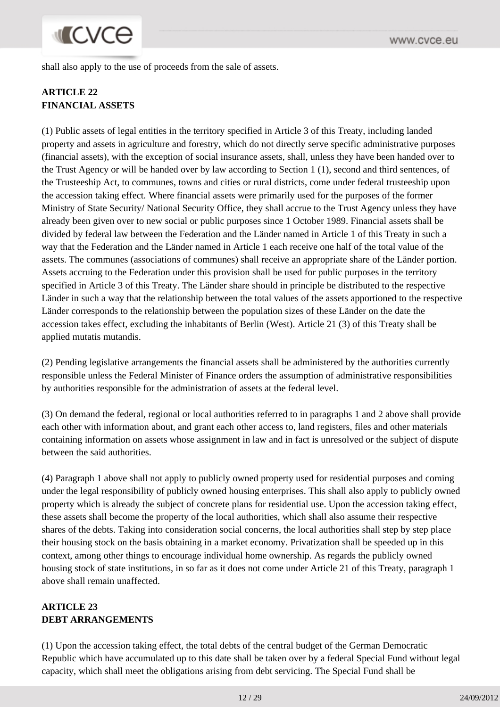# **MCVCe**

shall also apply to the use of proceeds from the sale of assets.

# **ARTICLE 22 FINANCIAL ASSETS**

(1) Public assets of legal entities in the territory specified in Article 3 of this Treaty, including landed property and assets in agriculture and forestry, which do not directly serve specific administrative purposes (financial assets), with the exception of social insurance assets, shall, unless they have been handed over to the Trust Agency or will be handed over by law according to Section 1 (1), second and third sentences, of the Trusteeship Act, to communes, towns and cities or rural districts, come under federal trusteeship upon the accession taking effect. Where financial assets were primarily used for the purposes of the former Ministry of State Security/ National Security Office, they shall accrue to the Trust Agency unless they have already been given over to new social or public purposes since 1 October 1989. Financial assets shall be divided by federal law between the Federation and the Länder named in Article 1 of this Treaty in such a way that the Federation and the Länder named in Article 1 each receive one half of the total value of the assets. The communes (associations of communes) shall receive an appropriate share of the Länder portion. Assets accruing to the Federation under this provision shall be used for public purposes in the territory specified in Article 3 of this Treaty. The Länder share should in principle be distributed to the respective Länder in such a way that the relationship between the total values of the assets apportioned to the respective Länder corresponds to the relationship between the population sizes of these Länder on the date the accession takes effect, excluding the inhabitants of Berlin (West). Article 21 (3) of this Treaty shall be applied mutatis mutandis.

(2) Pending legislative arrangements the financial assets shall be administered by the authorities currently responsible unless the Federal Minister of Finance orders the assumption of administrative responsibilities by authorities responsible for the administration of assets at the federal level.

(3) On demand the federal, regional or local authorities referred to in paragraphs 1 and 2 above shall provide each other with information about, and grant each other access to, land registers, files and other materials containing information on assets whose assignment in law and in fact is unresolved or the subject of dispute between the said authorities.

(4) Paragraph 1 above shall not apply to publicly owned property used for residential purposes and coming under the legal responsibility of publicly owned housing enterprises. This shall also apply to publicly owned property which is already the subject of concrete plans for residential use. Upon the accession taking effect, these assets shall become the property of the local authorities, which shall also assume their respective shares of the debts. Taking into consideration social concerns, the local authorities shall step by step place their housing stock on the basis obtaining in a market economy. Privatization shall be speeded up in this context, among other things to encourage individual home ownership. As regards the publicly owned housing stock of state institutions, in so far as it does not come under Article 21 of this Treaty, paragraph 1 above shall remain unaffected.

# **ARTICLE 23 DEBT ARRANGEMENTS**

(1) Upon the accession taking effect, the total debts of the central budget of the German Democratic Republic which have accumulated up to this date shall be taken over by a federal Special Fund without legal capacity, which shall meet the obligations arising from debt servicing. The Special Fund shall be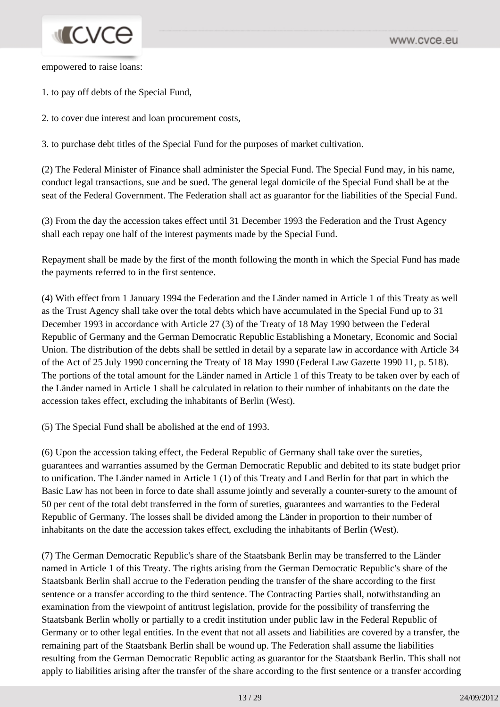empowered to raise loans:

1. to pay off debts of the Special Fund,

2. to cover due interest and loan procurement costs,

3. to purchase debt titles of the Special Fund for the purposes of market cultivation.

(2) The Federal Minister of Finance shall administer the Special Fund. The Special Fund may, in his name, conduct legal transactions, sue and be sued. The general legal domicile of the Special Fund shall be at the seat of the Federal Government. The Federation shall act as guarantor for the liabilities of the Special Fund.

(3) From the day the accession takes effect until 31 December 1993 the Federation and the Trust Agency shall each repay one half of the interest payments made by the Special Fund.

Repayment shall be made by the first of the month following the month in which the Special Fund has made the payments referred to in the first sentence.

(4) With effect from 1 January 1994 the Federation and the Länder named in Article 1 of this Treaty as well as the Trust Agency shall take over the total debts which have accumulated in the Special Fund up to 31 December 1993 in accordance with Article 27 (3) of the Treaty of 18 May 1990 between the Federal Republic of Germany and the German Democratic Republic Establishing a Monetary, Economic and Social Union. The distribution of the debts shall be settled in detail by a separate law in accordance with Article 34 of the Act of 25 July 1990 concerning the Treaty of 18 May 1990 (Federal Law Gazette 1990 11, p. 518). The portions of the total amount for the Länder named in Article 1 of this Treaty to be taken over by each of the Länder named in Article 1 shall be calculated in relation to their number of inhabitants on the date the accession takes effect, excluding the inhabitants of Berlin (West).

(5) The Special Fund shall be abolished at the end of 1993.

(6) Upon the accession taking effect, the Federal Republic of Germany shall take over the sureties, guarantees and warranties assumed by the German Democratic Republic and debited to its state budget prior to unification. The Länder named in Article 1 (1) of this Treaty and Land Berlin for that part in which the Basic Law has not been in force to date shall assume jointly and severally a counter-surety to the amount of 50 per cent of the total debt transferred in the form of sureties, guarantees and warranties to the Federal Republic of Germany. The losses shall be divided among the Länder in proportion to their number of inhabitants on the date the accession takes effect, excluding the inhabitants of Berlin (West).

(7) The German Democratic Republic's share of the Staatsbank Berlin may be transferred to the Länder named in Article 1 of this Treaty. The rights arising from the German Democratic Republic's share of the Staatsbank Berlin shall accrue to the Federation pending the transfer of the share according to the first sentence or a transfer according to the third sentence. The Contracting Parties shall, notwithstanding an examination from the viewpoint of antitrust legislation, provide for the possibility of transferring the Staatsbank Berlin wholly or partially to a credit institution under public law in the Federal Republic of Germany or to other legal entities. In the event that not all assets and liabilities are covered by a transfer, the remaining part of the Staatsbank Berlin shall be wound up. The Federation shall assume the liabilities resulting from the German Democratic Republic acting as guarantor for the Staatsbank Berlin. This shall not apply to liabilities arising after the transfer of the share according to the first sentence or a transfer according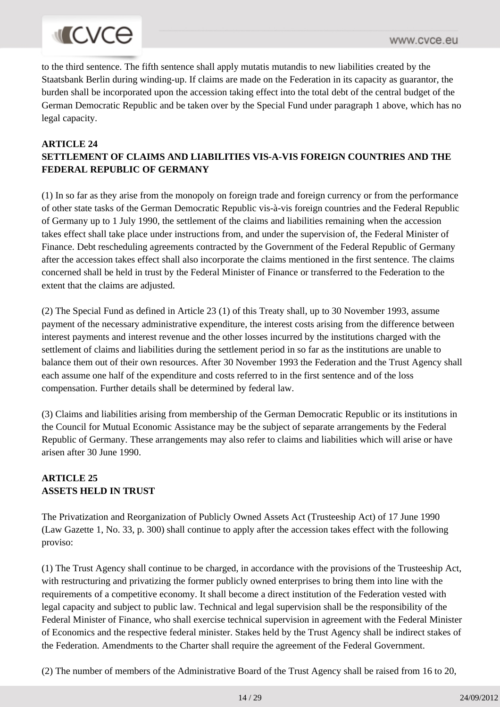

to the third sentence. The fifth sentence shall apply mutatis mutandis to new liabilities created by the Staatsbank Berlin during winding-up. If claims are made on the Federation in its capacity as guarantor, the burden shall be incorporated upon the accession taking effect into the total debt of the central budget of the German Democratic Republic and be taken over by the Special Fund under paragraph 1 above, which has no legal capacity.

#### **ARTICLE 24**

# **SETTLEMENT OF CLAIMS AND LIABILITIES VIS-A-VIS FOREIGN COUNTRIES AND THE FEDERAL REPUBLIC OF GERMANY**

(1) In so far as they arise from the monopoly on foreign trade and foreign currency or from the performance of other state tasks of the German Democratic Republic vis-à-vis foreign countries and the Federal Republic of Germany up to 1 July 1990, the settlement of the claims and liabilities remaining when the accession takes effect shall take place under instructions from, and under the supervision of, the Federal Minister of Finance. Debt rescheduling agreements contracted by the Government of the Federal Republic of Germany after the accession takes effect shall also incorporate the claims mentioned in the first sentence. The claims concerned shall be held in trust by the Federal Minister of Finance or transferred to the Federation to the extent that the claims are adjusted.

(2) The Special Fund as defined in Article 23 (1) of this Treaty shall, up to 30 November 1993, assume payment of the necessary administrative expenditure, the interest costs arising from the difference between interest payments and interest revenue and the other losses incurred by the institutions charged with the settlement of claims and liabilities during the settlement period in so far as the institutions are unable to balance them out of their own resources. After 30 November 1993 the Federation and the Trust Agency shall each assume one half of the expenditure and costs referred to in the first sentence and of the loss compensation. Further details shall be determined by federal law.

(3) Claims and liabilities arising from membership of the German Democratic Republic or its institutions in the Council for Mutual Economic Assistance may be the subject of separate arrangements by the Federal Republic of Germany. These arrangements may also refer to claims and liabilities which will arise or have arisen after 30 June 1990.

#### **ARTICLE 25 ASSETS HELD IN TRUST**

The Privatization and Reorganization of Publicly Owned Assets Act (Trusteeship Act) of 17 June 1990 (Law Gazette 1, No. 33, p. 300) shall continue to apply after the accession takes effect with the following proviso:

(1) The Trust Agency shall continue to be charged, in accordance with the provisions of the Trusteeship Act, with restructuring and privatizing the former publicly owned enterprises to bring them into line with the requirements of a competitive economy. It shall become a direct institution of the Federation vested with legal capacity and subject to public law. Technical and legal supervision shall be the responsibility of the Federal Minister of Finance, who shall exercise technical supervision in agreement with the Federal Minister of Economics and the respective federal minister. Stakes held by the Trust Agency shall be indirect stakes of the Federation. Amendments to the Charter shall require the agreement of the Federal Government.

(2) The number of members of the Administrative Board of the Trust Agency shall be raised from 16 to 20,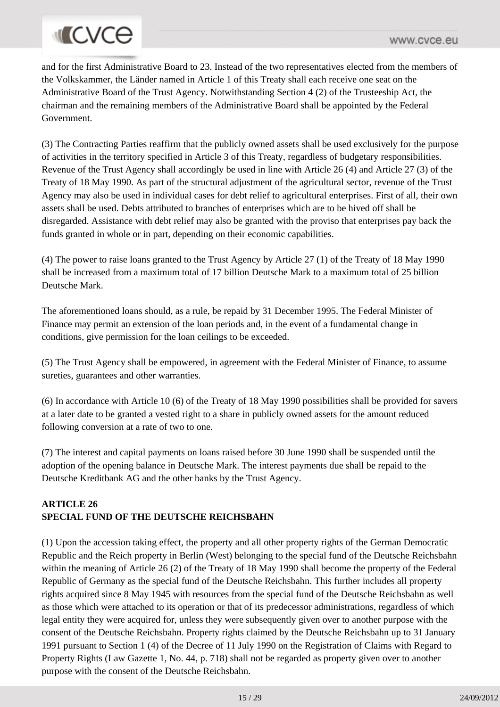and for the first Administrative Board to 23. Instead of the two representatives elected from the members of the Volkskammer, the Länder named in Article 1 of this Treaty shall each receive one seat on the Administrative Board of the Trust Agency. Notwithstanding Section 4 (2) of the Trusteeship Act, the chairman and the remaining members of the Administrative Board shall be appointed by the Federal Government.

(3) The Contracting Parties reaffirm that the publicly owned assets shall be used exclusively for the purpose of activities in the territory specified in Article 3 of this Treaty, regardless of budgetary responsibilities. Revenue of the Trust Agency shall accordingly be used in line with Article 26 (4) and Article 27 (3) of the Treaty of 18 May 1990. As part of the structural adjustment of the agricultural sector, revenue of the Trust Agency may also be used in individual cases for debt relief to agricultural enterprises. First of all, their own assets shall be used. Debts attributed to branches of enterprises which are to be hived off shall be disregarded. Assistance with debt relief may also be granted with the proviso that enterprises pay back the funds granted in whole or in part, depending on their economic capabilities.

(4) The power to raise loans granted to the Trust Agency by Article 27 (1) of the Treaty of 18 May 1990 shall be increased from a maximum total of 17 billion Deutsche Mark to a maximum total of 25 billion Deutsche Mark.

The aforementioned loans should, as a rule, be repaid by 31 December 1995. The Federal Minister of Finance may permit an extension of the loan periods and, in the event of a fundamental change in conditions, give permission for the loan ceilings to be exceeded.

(5) The Trust Agency shall be empowered, in agreement with the Federal Minister of Finance, to assume sureties, guarantees and other warranties.

(6) In accordance with Article 10 (6) of the Treaty of 18 May 1990 possibilities shall be provided for savers at a later date to be granted a vested right to a share in publicly owned assets for the amount reduced following conversion at a rate of two to one.

(7) The interest and capital payments on loans raised before 30 June 1990 shall be suspended until the adoption of the opening balance in Deutsche Mark. The interest payments due shall be repaid to the Deutsche Kreditbank AG and the other banks by the Trust Agency.

## **ARTICLE 26 SPECIAL FUND OF THE DEUTSCHE REICHSBAHN**

(1) Upon the accession taking effect, the property and all other property rights of the German Democratic Republic and the Reich property in Berlin (West) belonging to the special fund of the Deutsche Reichsbahn within the meaning of Article 26 (2) of the Treaty of 18 May 1990 shall become the property of the Federal Republic of Germany as the special fund of the Deutsche Reichsbahn. This further includes all property rights acquired since 8 May 1945 with resources from the special fund of the Deutsche Reichsbahn as well as those which were attached to its operation or that of its predecessor administrations, regardless of which legal entity they were acquired for, unless they were subsequently given over to another purpose with the consent of the Deutsche Reichsbahn. Property rights claimed by the Deutsche Reichsbahn up to 31 January 1991 pursuant to Section 1 (4) of the Decree of 11 July 1990 on the Registration of Claims with Regard to Property Rights (Law Gazette 1, No. 44, p. 718) shall not be regarded as property given over to another purpose with the consent of the Deutsche Reichsbahn.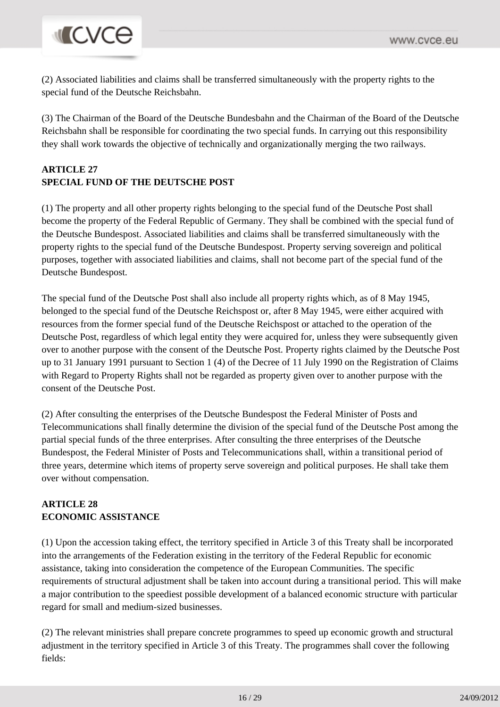(2) Associated liabilities and claims shall be transferred simultaneously with the property rights to the special fund of the Deutsche Reichsbahn.

(3) The Chairman of the Board of the Deutsche Bundesbahn and the Chairman of the Board of the Deutsche Reichsbahn shall be responsible for coordinating the two special funds. In carrying out this responsibility they shall work towards the objective of technically and organizationally merging the two railways.

## **ARTICLE 27 SPECIAL FUND OF THE DEUTSCHE POST**

(1) The property and all other property rights belonging to the special fund of the Deutsche Post shall become the property of the Federal Republic of Germany. They shall be combined with the special fund of the Deutsche Bundespost. Associated liabilities and claims shall be transferred simultaneously with the property rights to the special fund of the Deutsche Bundespost. Property serving sovereign and political purposes, together with associated liabilities and claims, shall not become part of the special fund of the Deutsche Bundespost.

The special fund of the Deutsche Post shall also include all property rights which, as of 8 May 1945, belonged to the special fund of the Deutsche Reichspost or, after 8 May 1945, were either acquired with resources from the former special fund of the Deutsche Reichspost or attached to the operation of the Deutsche Post, regardless of which legal entity they were acquired for, unless they were subsequently given over to another purpose with the consent of the Deutsche Post. Property rights claimed by the Deutsche Post up to 31 January 1991 pursuant to Section 1 (4) of the Decree of 11 July 1990 on the Registration of Claims with Regard to Property Rights shall not be regarded as property given over to another purpose with the consent of the Deutsche Post.

(2) After consulting the enterprises of the Deutsche Bundespost the Federal Minister of Posts and Telecommunications shall finally determine the division of the special fund of the Deutsche Post among the partial special funds of the three enterprises. After consulting the three enterprises of the Deutsche Bundespost, the Federal Minister of Posts and Telecommunications shall, within a transitional period of three years, determine which items of property serve sovereign and political purposes. He shall take them over without compensation.

## **ARTICLE 28 ECONOMIC ASSISTANCE**

(1) Upon the accession taking effect, the territory specified in Article 3 of this Treaty shall be incorporated into the arrangements of the Federation existing in the territory of the Federal Republic for economic assistance, taking into consideration the competence of the European Communities. The specific requirements of structural adjustment shall be taken into account during a transitional period. This will make a major contribution to the speediest possible development of a balanced economic structure with particular regard for small and medium-sized businesses.

(2) The relevant ministries shall prepare concrete programmes to speed up economic growth and structural adjustment in the territory specified in Article 3 of this Treaty. The programmes shall cover the following fields: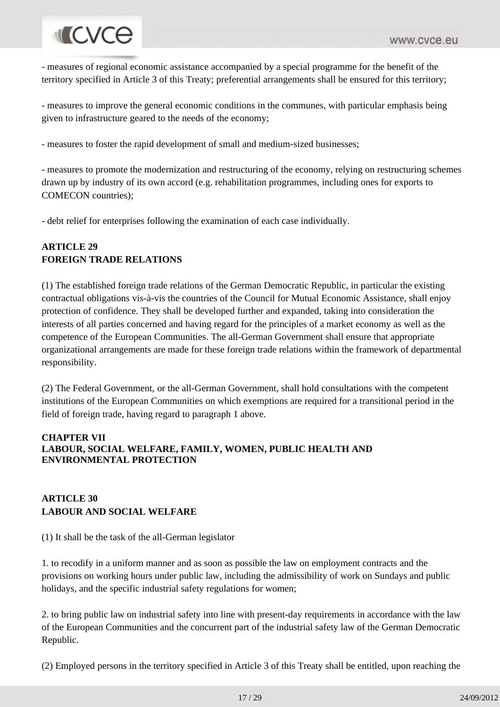# **ILCVCe**

- measures of regional economic assistance accompanied by a special programme for the benefit of the territory specified in Article 3 of this Treaty; preferential arrangements shall be ensured for this territory;

- measures to improve the general economic conditions in the communes, with particular emphasis being given to infrastructure geared to the needs of the economy;

- measures to foster the rapid development of small and medium-sized businesses;

- measures to promote the modernization and restructuring of the economy, relying on restructuring schemes drawn up by industry of its own accord (e.g. rehabilitation programmes, including ones for exports to COMECON countries);

- debt relief for enterprises following the examination of each case individually.

### **ARTICLE 29 FOREIGN TRADE RELATIONS**

(1) The established foreign trade relations of the German Democratic Republic, in particular the existing contractual obligations vis-à-vis the countries of the Council for Mutual Economic Assistance, shall enjoy protection of confidence. They shall be developed further and expanded, taking into consideration the interests of all parties concerned and having regard for the principles of a market economy as well as the competence of the European Communities. The all-German Government shall ensure that appropriate organizational arrangements are made for these foreign trade relations within the framework of departmental responsibility.

(2) The Federal Government, or the all-German Government, shall hold consultations with the competent institutions of the European Communities on which exemptions are required for a transitional period in the field of foreign trade, having regard to paragraph 1 above.

#### **CHAPTER VII LABOUR, SOCIAL WELFARE, FAMILY, WOMEN, PUBLIC HEALTH AND ENVIRONMENTAL PROTECTION**

### **ARTICLE 30 LABOUR AND SOCIAL WELFARE**

(1) It shall be the task of the all-German legislator

1. to recodify in a uniform manner and as soon as possible the law on employment contracts and the provisions on working hours under public law, including the admissibility of work on Sundays and public holidays, and the specific industrial safety regulations for women;

2. to bring public law on industrial safety into line with present-day requirements in accordance with the law of the European Communities and the concurrent part of the industrial safety law of the German Democratic Republic.

(2) Employed persons in the territory specified in Article 3 of this Treaty shall be entitled, upon reaching the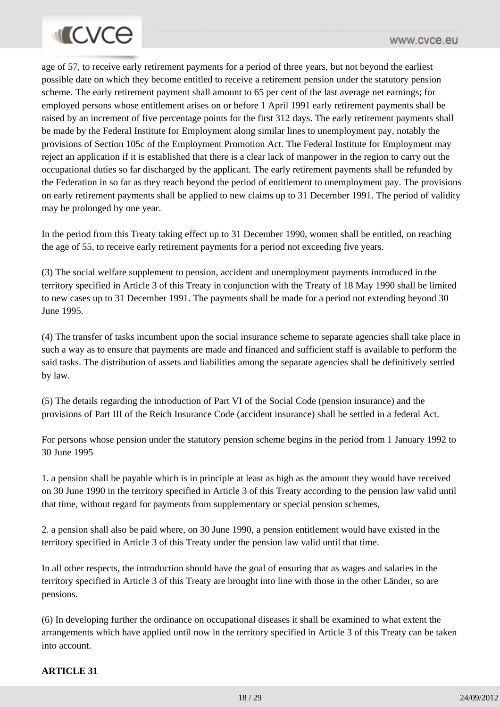age of 57, to receive early retirement payments for a period of three years, but not beyond the earliest possible date on which they become entitled to receive a retirement pension under the statutory pension scheme. The early retirement payment shall amount to 65 per cent of the last average net earnings; for employed persons whose entitlement arises on or before 1 April 1991 early retirement payments shall be raised by an increment of five percentage points for the first 312 days. The early retirement payments shall be made by the Federal Institute for Employment along similar lines to unemployment pay, notably the provisions of Section 105c of the Employment Promotion Act. The Federal Institute for Employment may reject an application if it is established that there is a clear lack of manpower in the region to carry out the occupational duties so far discharged by the applicant. The early retirement payments shall be refunded by the Federation in so far as they reach beyond the period of entitlement to unemployment pay. The provisions on early retirement payments shall be applied to new claims up to 31 December 1991. The period of validity may be prolonged by one year.

In the period from this Treaty taking effect up to 31 December 1990, women shall be entitled, on reaching the age of 55, to receive early retirement payments for a period not exceeding five years.

(3) The social welfare supplement to pension, accident and unemployment payments introduced in the territory specified in Article 3 of this Treaty in conjunction with the Treaty of 18 May 1990 shall be limited to new cases up to 31 December 1991. The payments shall be made for a period not extending beyond 30 June 1995.

(4) The transfer of tasks incumbent upon the social insurance scheme to separate agencies shall take place in such a way as to ensure that payments are made and financed and sufficient staff is available to perform the said tasks. The distribution of assets and liabilities among the separate agencies shall be definitively settled by law.

(5) The details regarding the introduction of Part VI of the Social Code (pension insurance) and the provisions of Part III of the Reich Insurance Code (accident insurance) shall be settled in a federal Act.

For persons whose pension under the statutory pension scheme begins in the period from 1 January 1992 to 30 June 1995

1. a pension shall be payable which is in principle at least as high as the amount they would have received on 30 June 1990 in the territory specified in Article 3 of this Treaty according to the pension law valid until that time, without regard for payments from supplementary or special pension schemes,

2. a pension shall also be paid where, on 30 June 1990, a pension entitlement would have existed in the territory specified in Article 3 of this Treaty under the pension law valid until that time.

In all other respects, the introduction should have the goal of ensuring that as wages and salaries in the territory specified in Article 3 of this Treaty are brought into line with those in the other Länder, so are pensions.

(6) In developing further the ordinance on occupational diseases it shall be examined to what extent the arrangements which have applied until now in the territory specified in Article 3 of this Treaty can be taken into account.

### **ARTICLE 31**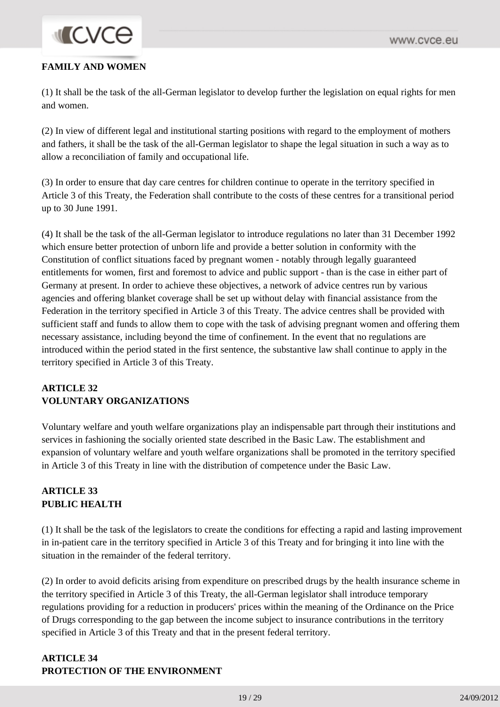### **FAMILY AND WOMEN**

(1) It shall be the task of the all-German legislator to develop further the legislation on equal rights for men and women.

(2) In view of different legal and institutional starting positions with regard to the employment of mothers and fathers, it shall be the task of the all-German legislator to shape the legal situation in such a way as to allow a reconciliation of family and occupational life.

(3) In order to ensure that day care centres for children continue to operate in the territory specified in Article 3 of this Treaty, the Federation shall contribute to the costs of these centres for a transitional period up to 30 June 1991.

(4) It shall be the task of the all-German legislator to introduce regulations no later than 31 December 1992 which ensure better protection of unborn life and provide a better solution in conformity with the Constitution of conflict situations faced by pregnant women - notably through legally guaranteed entitlements for women, first and foremost to advice and public support - than is the case in either part of Germany at present. In order to achieve these objectives, a network of advice centres run by various agencies and offering blanket coverage shall be set up without delay with financial assistance from the Federation in the territory specified in Article 3 of this Treaty. The advice centres shall be provided with sufficient staff and funds to allow them to cope with the task of advising pregnant women and offering them necessary assistance, including beyond the time of confinement. In the event that no regulations are introduced within the period stated in the first sentence, the substantive law shall continue to apply in the territory specified in Article 3 of this Treaty.

### **ARTICLE 32 VOLUNTARY ORGANIZATIONS**

Voluntary welfare and youth welfare organizations play an indispensable part through their institutions and services in fashioning the socially oriented state described in the Basic Law. The establishment and expansion of voluntary welfare and youth welfare organizations shall be promoted in the territory specified in Article 3 of this Treaty in line with the distribution of competence under the Basic Law.

### **ARTICLE 33 PUBLIC HEALTH**

(1) It shall be the task of the legislators to create the conditions for effecting a rapid and lasting improvement in in-patient care in the territory specified in Article 3 of this Treaty and for bringing it into line with the situation in the remainder of the federal territory.

(2) In order to avoid deficits arising from expenditure on prescribed drugs by the health insurance scheme in the territory specified in Article 3 of this Treaty, the all-German legislator shall introduce temporary regulations providing for a reduction in producers' prices within the meaning of the Ordinance on the Price of Drugs corresponding to the gap between the income subject to insurance contributions in the territory specified in Article 3 of this Treaty and that in the present federal territory.

# **ARTICLE 34 PROTECTION OF THE ENVIRONMENT**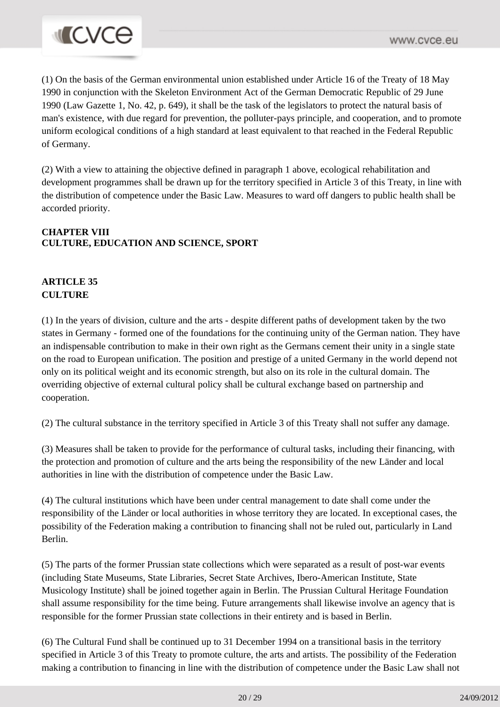

(1) On the basis of the German environmental union established under Article 16 of the Treaty of 18 May 1990 in conjunction with the Skeleton Environment Act of the German Democratic Republic of 29 June 1990 (Law Gazette 1, No. 42, p. 649), it shall be the task of the legislators to protect the natural basis of man's existence, with due regard for prevention, the polluter-pays principle, and cooperation, and to promote uniform ecological conditions of a high standard at least equivalent to that reached in the Federal Republic of Germany.

(2) With a view to attaining the objective defined in paragraph 1 above, ecological rehabilitation and development programmes shall be drawn up for the territory specified in Article 3 of this Treaty, in line with the distribution of competence under the Basic Law. Measures to ward off dangers to public health shall be accorded priority.

## **CHAPTER VIII CULTURE, EDUCATION AND SCIENCE, SPORT**

### **ARTICLE 35 CULTURE**

(1) In the years of division, culture and the arts - despite different paths of development taken by the two states in Germany - formed one of the foundations for the continuing unity of the German nation. They have an indispensable contribution to make in their own right as the Germans cement their unity in a single state on the road to European unification. The position and prestige of a united Germany in the world depend not only on its political weight and its economic strength, but also on its role in the cultural domain. The overriding objective of external cultural policy shall be cultural exchange based on partnership and cooperation.

(2) The cultural substance in the territory specified in Article 3 of this Treaty shall not suffer any damage.

(3) Measures shall be taken to provide for the performance of cultural tasks, including their financing, with the protection and promotion of culture and the arts being the responsibility of the new Länder and local authorities in line with the distribution of competence under the Basic Law.

(4) The cultural institutions which have been under central management to date shall come under the responsibility of the Länder or local authorities in whose territory they are located. In exceptional cases, the possibility of the Federation making a contribution to financing shall not be ruled out, particularly in Land Berlin.

(5) The parts of the former Prussian state collections which were separated as a result of post-war events (including State Museums, State Libraries, Secret State Archives, Ibero-American Institute, State Musicology Institute) shall be joined together again in Berlin. The Prussian Cultural Heritage Foundation shall assume responsibility for the time being. Future arrangements shall likewise involve an agency that is responsible for the former Prussian state collections in their entirety and is based in Berlin.

(6) The Cultural Fund shall be continued up to 31 December 1994 on a transitional basis in the territory specified in Article 3 of this Treaty to promote culture, the arts and artists. The possibility of the Federation making a contribution to financing in line with the distribution of competence under the Basic Law shall not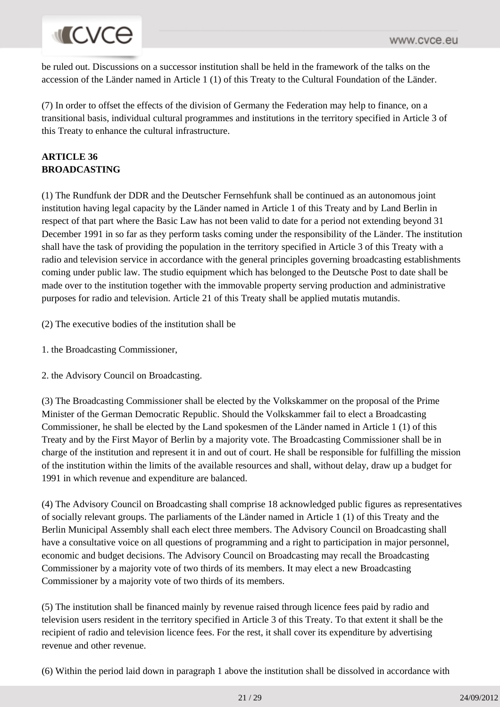be ruled out. Discussions on a successor institution shall be held in the framework of the talks on the accession of the Länder named in Article 1 (1) of this Treaty to the Cultural Foundation of the Länder.

(7) In order to offset the effects of the division of Germany the Federation may help to finance, on a transitional basis, individual cultural programmes and institutions in the territory specified in Article 3 of this Treaty to enhance the cultural infrastructure.

## **ARTICLE 36 BROADCASTING**

(1) The Rundfunk der DDR and the Deutscher Fernsehfunk shall be continued as an autonomous joint institution having legal capacity by the Länder named in Article 1 of this Treaty and by Land Berlin in respect of that part where the Basic Law has not been valid to date for a period not extending beyond 31 December 1991 in so far as they perform tasks coming under the responsibility of the Länder. The institution shall have the task of providing the population in the territory specified in Article 3 of this Treaty with a radio and television service in accordance with the general principles governing broadcasting establishments coming under public law. The studio equipment which has belonged to the Deutsche Post to date shall be made over to the institution together with the immovable property serving production and administrative purposes for radio and television. Article 21 of this Treaty shall be applied mutatis mutandis.

(2) The executive bodies of the institution shall be

- 1. the Broadcasting Commissioner,
- 2. the Advisory Council on Broadcasting.

(3) The Broadcasting Commissioner shall be elected by the Volkskammer on the proposal of the Prime Minister of the German Democratic Republic. Should the Volkskammer fail to elect a Broadcasting Commissioner, he shall be elected by the Land spokesmen of the Länder named in Article 1 (1) of this Treaty and by the First Mayor of Berlin by a majority vote. The Broadcasting Commissioner shall be in charge of the institution and represent it in and out of court. He shall be responsible for fulfilling the mission of the institution within the limits of the available resources and shall, without delay, draw up a budget for 1991 in which revenue and expenditure are balanced.

(4) The Advisory Council on Broadcasting shall comprise 18 acknowledged public figures as representatives of socially relevant groups. The parliaments of the Länder named in Article 1 (1) of this Treaty and the Berlin Municipal Assembly shall each elect three members. The Advisory Council on Broadcasting shall have a consultative voice on all questions of programming and a right to participation in major personnel, economic and budget decisions. The Advisory Council on Broadcasting may recall the Broadcasting Commissioner by a majority vote of two thirds of its members. It may elect a new Broadcasting Commissioner by a majority vote of two thirds of its members.

(5) The institution shall be financed mainly by revenue raised through licence fees paid by radio and television users resident in the territory specified in Article 3 of this Treaty. To that extent it shall be the recipient of radio and television licence fees. For the rest, it shall cover its expenditure by advertising revenue and other revenue.

(6) Within the period laid down in paragraph 1 above the institution shall be dissolved in accordance with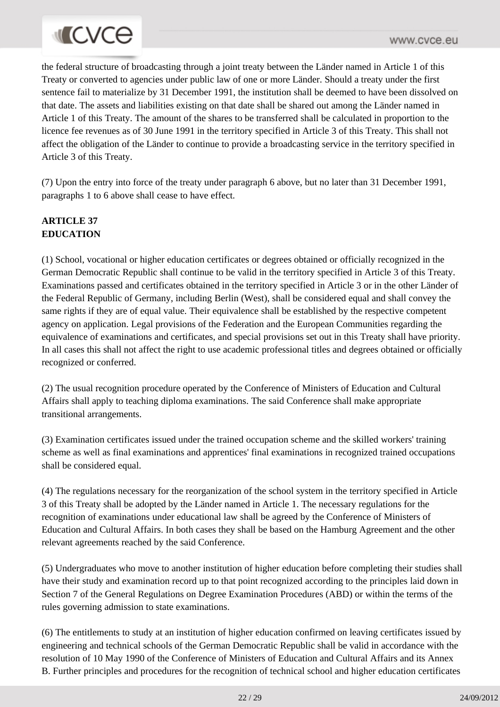

the federal structure of broadcasting through a joint treaty between the Länder named in Article 1 of this Treaty or converted to agencies under public law of one or more Länder. Should a treaty under the first sentence fail to materialize by 31 December 1991, the institution shall be deemed to have been dissolved on that date. The assets and liabilities existing on that date shall be shared out among the Länder named in Article 1 of this Treaty. The amount of the shares to be transferred shall be calculated in proportion to the licence fee revenues as of 30 June 1991 in the territory specified in Article 3 of this Treaty. This shall not affect the obligation of the Länder to continue to provide a broadcasting service in the territory specified in Article 3 of this Treaty.

(7) Upon the entry into force of the treaty under paragraph 6 above, but no later than 31 December 1991, paragraphs 1 to 6 above shall cease to have effect.

# **ARTICLE 37 EDUCATION**

(1) School, vocational or higher education certificates or degrees obtained or officially recognized in the German Democratic Republic shall continue to be valid in the territory specified in Article 3 of this Treaty. Examinations passed and certificates obtained in the territory specified in Article 3 or in the other Länder of the Federal Republic of Germany, including Berlin (West), shall be considered equal and shall convey the same rights if they are of equal value. Their equivalence shall be established by the respective competent agency on application. Legal provisions of the Federation and the European Communities regarding the equivalence of examinations and certificates, and special provisions set out in this Treaty shall have priority. In all cases this shall not affect the right to use academic professional titles and degrees obtained or officially recognized or conferred.

(2) The usual recognition procedure operated by the Conference of Ministers of Education and Cultural Affairs shall apply to teaching diploma examinations. The said Conference shall make appropriate transitional arrangements.

(3) Examination certificates issued under the trained occupation scheme and the skilled workers' training scheme as well as final examinations and apprentices' final examinations in recognized trained occupations shall be considered equal.

(4) The regulations necessary for the reorganization of the school system in the territory specified in Article 3 of this Treaty shall be adopted by the Länder named in Article 1. The necessary regulations for the recognition of examinations under educational law shall be agreed by the Conference of Ministers of Education and Cultural Affairs. In both cases they shall be based on the Hamburg Agreement and the other relevant agreements reached by the said Conference.

(5) Undergraduates who move to another institution of higher education before completing their studies shall have their study and examination record up to that point recognized according to the principles laid down in Section 7 of the General Regulations on Degree Examination Procedures (ABD) or within the terms of the rules governing admission to state examinations.

(6) The entitlements to study at an institution of higher education confirmed on leaving certificates issued by engineering and technical schools of the German Democratic Republic shall be valid in accordance with the resolution of 10 May 1990 of the Conference of Ministers of Education and Cultural Affairs and its Annex B. Further principles and procedures for the recognition of technical school and higher education certificates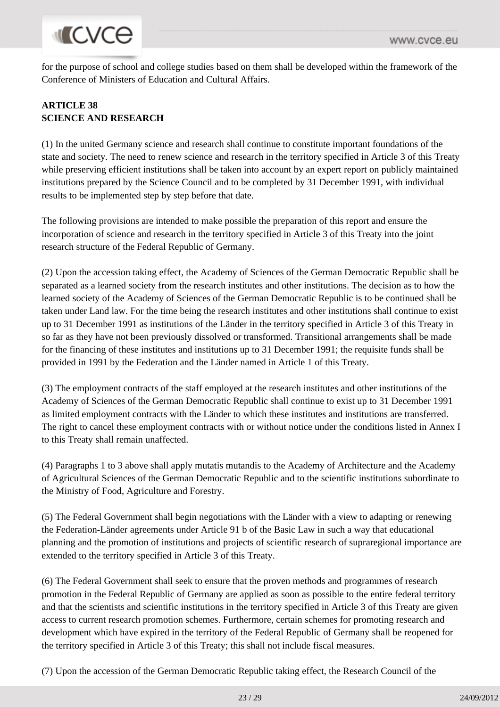# **MCVCe**

for the purpose of school and college studies based on them shall be developed within the framework of the Conference of Ministers of Education and Cultural Affairs.

### **ARTICLE 38 SCIENCE AND RESEARCH**

(1) In the united Germany science and research shall continue to constitute important foundations of the state and society. The need to renew science and research in the territory specified in Article 3 of this Treaty while preserving efficient institutions shall be taken into account by an expert report on publicly maintained institutions prepared by the Science Council and to be completed by 31 December 1991, with individual results to be implemented step by step before that date.

The following provisions are intended to make possible the preparation of this report and ensure the incorporation of science and research in the territory specified in Article 3 of this Treaty into the joint research structure of the Federal Republic of Germany.

(2) Upon the accession taking effect, the Academy of Sciences of the German Democratic Republic shall be separated as a learned society from the research institutes and other institutions. The decision as to how the learned society of the Academy of Sciences of the German Democratic Republic is to be continued shall be taken under Land law. For the time being the research institutes and other institutions shall continue to exist up to 31 December 1991 as institutions of the Länder in the territory specified in Article 3 of this Treaty in so far as they have not been previously dissolved or transformed. Transitional arrangements shall be made for the financing of these institutes and institutions up to 31 December 1991; the requisite funds shall be provided in 1991 by the Federation and the Länder named in Article 1 of this Treaty.

(3) The employment contracts of the staff employed at the research institutes and other institutions of the Academy of Sciences of the German Democratic Republic shall continue to exist up to 31 December 1991 as limited employment contracts with the Länder to which these institutes and institutions are transferred. The right to cancel these employment contracts with or without notice under the conditions listed in Annex I to this Treaty shall remain unaffected.

(4) Paragraphs 1 to 3 above shall apply mutatis mutandis to the Academy of Architecture and the Academy of Agricultural Sciences of the German Democratic Republic and to the scientific institutions subordinate to the Ministry of Food, Agriculture and Forestry.

(5) The Federal Government shall begin negotiations with the Länder with a view to adapting or renewing the Federation-Länder agreements under Article 91 b of the Basic Law in such a way that educational planning and the promotion of institutions and projects of scientific research of supraregional importance are extended to the territory specified in Article 3 of this Treaty.

(6) The Federal Government shall seek to ensure that the proven methods and programmes of research promotion in the Federal Republic of Germany are applied as soon as possible to the entire federal territory and that the scientists and scientific institutions in the territory specified in Article 3 of this Treaty are given access to current research promotion schemes. Furthermore, certain schemes for promoting research and development which have expired in the territory of the Federal Republic of Germany shall be reopened for the territory specified in Article 3 of this Treaty; this shall not include fiscal measures.

(7) Upon the accession of the German Democratic Republic taking effect, the Research Council of the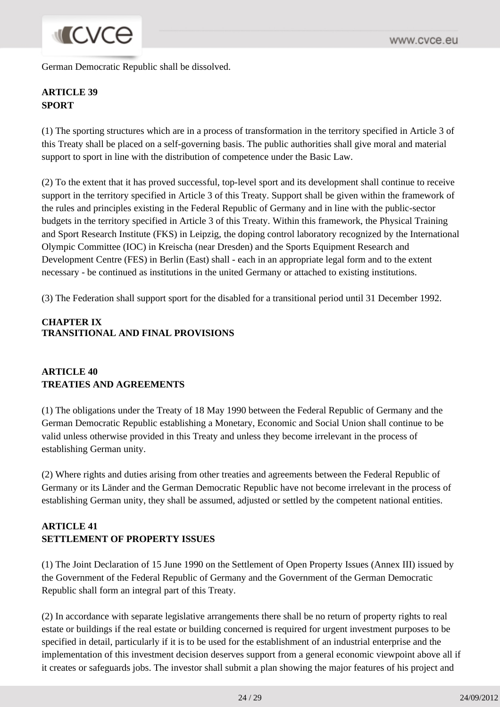German Democratic Republic shall be dissolved.

#### **ARTICLE 39 SPORT**

**MICVCO** 

(1) The sporting structures which are in a process of transformation in the territory specified in Article 3 of this Treaty shall be placed on a self-governing basis. The public authorities shall give moral and material support to sport in line with the distribution of competence under the Basic Law.

(2) To the extent that it has proved successful, top-level sport and its development shall continue to receive support in the territory specified in Article 3 of this Treaty. Support shall be given within the framework of the rules and principles existing in the Federal Republic of Germany and in line with the public-sector budgets in the territory specified in Article 3 of this Treaty. Within this framework, the Physical Training and Sport Research Institute (FKS) in Leipzig, the doping control laboratory recognized by the International Olympic Committee (IOC) in Kreischa (near Dresden) and the Sports Equipment Research and Development Centre (FES) in Berlin (East) shall - each in an appropriate legal form and to the extent necessary - be continued as institutions in the united Germany or attached to existing institutions.

(3) The Federation shall support sport for the disabled for a transitional period until 31 December 1992.

### **CHAPTER IX TRANSITIONAL AND FINAL PROVISIONS**

### **ARTICLE 40 TREATIES AND AGREEMENTS**

(1) The obligations under the Treaty of 18 May 1990 between the Federal Republic of Germany and the German Democratic Republic establishing a Monetary, Economic and Social Union shall continue to be valid unless otherwise provided in this Treaty and unless they become irrelevant in the process of establishing German unity.

(2) Where rights and duties arising from other treaties and agreements between the Federal Republic of Germany or its Länder and the German Democratic Republic have not become irrelevant in the process of establishing German unity, they shall be assumed, adjusted or settled by the competent national entities.

### **ARTICLE 41 SETTLEMENT OF PROPERTY ISSUES**

(1) The Joint Declaration of 15 June 1990 on the Settlement of Open Property Issues (Annex III) issued by the Government of the Federal Republic of Germany and the Government of the German Democratic Republic shall form an integral part of this Treaty.

(2) In accordance with separate legislative arrangements there shall be no return of property rights to real estate or buildings if the real estate or building concerned is required for urgent investment purposes to be specified in detail, particularly if it is to be used for the establishment of an industrial enterprise and the implementation of this investment decision deserves support from a general economic viewpoint above all if it creates or safeguards jobs. The investor shall submit a plan showing the major features of his project and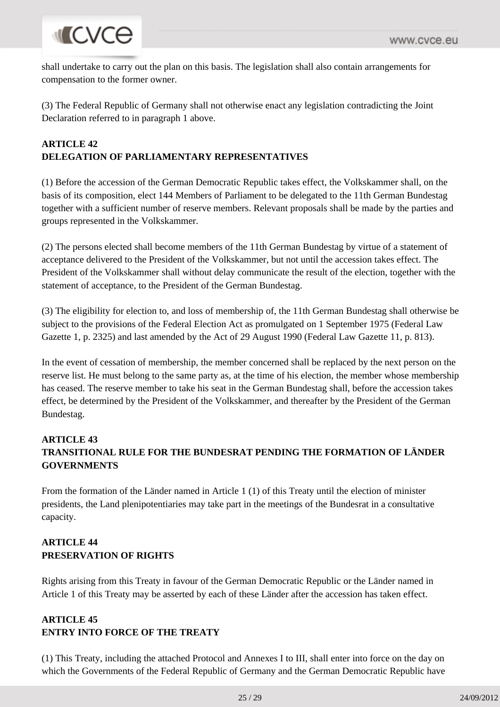shall undertake to carry out the plan on this basis. The legislation shall also contain arrangements for compensation to the former owner.

(3) The Federal Republic of Germany shall not otherwise enact any legislation contradicting the Joint Declaration referred to in paragraph 1 above.

### **ARTICLE 42 DELEGATION OF PARLIAMENTARY REPRESENTATIVES**

(1) Before the accession of the German Democratic Republic takes effect, the Volkskammer shall, on the basis of its composition, elect 144 Members of Parliament to be delegated to the 11th German Bundestag together with a sufficient number of reserve members. Relevant proposals shall be made by the parties and groups represented in the Volkskammer.

(2) The persons elected shall become members of the 11th German Bundestag by virtue of a statement of acceptance delivered to the President of the Volkskammer, but not until the accession takes effect. The President of the Volkskammer shall without delay communicate the result of the election, together with the statement of acceptance, to the President of the German Bundestag.

(3) The eligibility for election to, and loss of membership of, the 11th German Bundestag shall otherwise be subject to the provisions of the Federal Election Act as promulgated on 1 September 1975 (Federal Law Gazette 1, p. 2325) and last amended by the Act of 29 August 1990 (Federal Law Gazette 11, p. 813).

In the event of cessation of membership, the member concerned shall be replaced by the next person on the reserve list. He must belong to the same party as, at the time of his election, the member whose membership has ceased. The reserve member to take his seat in the German Bundestag shall, before the accession takes effect, be determined by the President of the Volkskammer, and thereafter by the President of the German Bundestag.

# **ARTICLE 43 TRANSITIONAL RULE FOR THE BUNDESRAT PENDING THE FORMATION OF LÄNDER GOVERNMENTS**

From the formation of the Länder named in Article 1 (1) of this Treaty until the election of minister presidents, the Land plenipotentiaries may take part in the meetings of the Bundesrat in a consultative capacity.

# **ARTICLE 44 PRESERVATION OF RIGHTS**

Rights arising from this Treaty in favour of the German Democratic Republic or the Länder named in Article 1 of this Treaty may be asserted by each of these Länder after the accession has taken effect.

# **ARTICLE 45 ENTRY INTO FORCE OF THE TREATY**

(1) This Treaty, including the attached Protocol and Annexes I to III, shall enter into force on the day on which the Governments of the Federal Republic of Germany and the German Democratic Republic have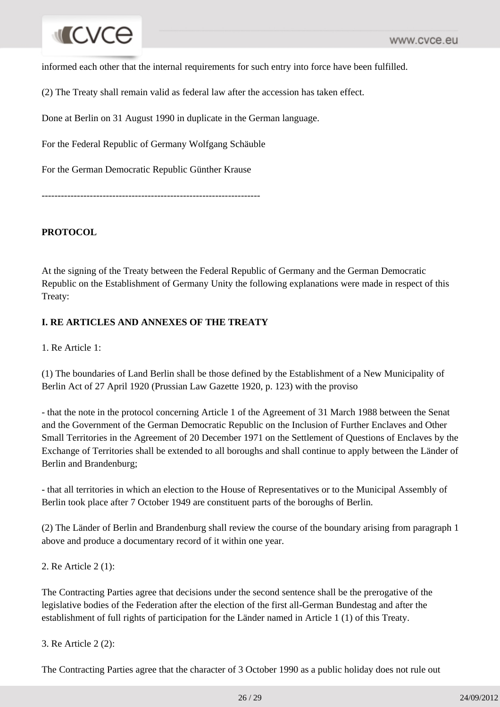# **INCVCE**

informed each other that the internal requirements for such entry into force have been fulfilled.

(2) The Treaty shall remain valid as federal law after the accession has taken effect.

Done at Berlin on 31 August 1990 in duplicate in the German language.

For the Federal Republic of Germany Wolfgang Schäuble

For the German Democratic Republic Günther Krause

--------------------------------------------------------------------

#### **PROTOCOL**

At the signing of the Treaty between the Federal Republic of Germany and the German Democratic Republic on the Establishment of Germany Unity the following explanations were made in respect of this Treaty:

#### **I. RE ARTICLES AND ANNEXES OF THE TREATY**

1. Re Article 1:

(1) The boundaries of Land Berlin shall be those defined by the Establishment of a New Municipality of Berlin Act of 27 April 1920 (Prussian Law Gazette 1920, p. 123) with the proviso

- that the note in the protocol concerning Article 1 of the Agreement of 31 March 1988 between the Senat and the Government of the German Democratic Republic on the Inclusion of Further Enclaves and Other Small Territories in the Agreement of 20 December 1971 on the Settlement of Questions of Enclaves by the Exchange of Territories shall be extended to all boroughs and shall continue to apply between the Länder of Berlin and Brandenburg;

- that all territories in which an election to the House of Representatives or to the Municipal Assembly of Berlin took place after 7 October 1949 are constituent parts of the boroughs of Berlin.

(2) The Länder of Berlin and Brandenburg shall review the course of the boundary arising from paragraph 1 above and produce a documentary record of it within one year.

2. Re Article 2 (1):

The Contracting Parties agree that decisions under the second sentence shall be the prerogative of the legislative bodies of the Federation after the election of the first all-German Bundestag and after the establishment of full rights of participation for the Länder named in Article 1 (1) of this Treaty.

3. Re Article 2 (2):

The Contracting Parties agree that the character of 3 October 1990 as a public holiday does not rule out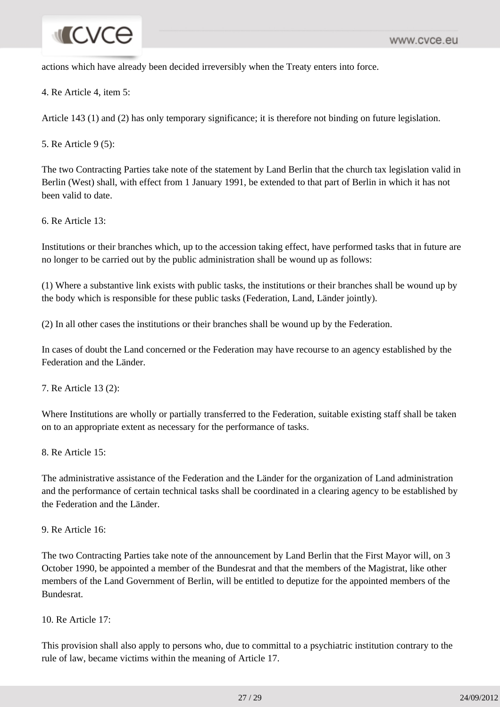# **INCVCe**

actions which have already been decided irreversibly when the Treaty enters into force.

4. Re Article 4, item 5:

Article 143 (1) and (2) has only temporary significance; it is therefore not binding on future legislation.

5. Re Article 9 (5):

The two Contracting Parties take note of the statement by Land Berlin that the church tax legislation valid in Berlin (West) shall, with effect from 1 January 1991, be extended to that part of Berlin in which it has not been valid to date.

6. Re Article 13:

Institutions or their branches which, up to the accession taking effect, have performed tasks that in future are no longer to be carried out by the public administration shall be wound up as follows:

(1) Where a substantive link exists with public tasks, the institutions or their branches shall be wound up by the body which is responsible for these public tasks (Federation, Land, Länder jointly).

(2) In all other cases the institutions or their branches shall be wound up by the Federation.

In cases of doubt the Land concerned or the Federation may have recourse to an agency established by the Federation and the Länder.

7. Re Article 13 (2):

Where Institutions are wholly or partially transferred to the Federation, suitable existing staff shall be taken on to an appropriate extent as necessary for the performance of tasks.

8. Re Article 15:

The administrative assistance of the Federation and the Länder for the organization of Land administration and the performance of certain technical tasks shall be coordinated in a clearing agency to be established by the Federation and the Länder.

9. Re Article 16:

The two Contracting Parties take note of the announcement by Land Berlin that the First Mayor will, on 3 October 1990, be appointed a member of the Bundesrat and that the members of the Magistrat, like other members of the Land Government of Berlin, will be entitled to deputize for the appointed members of the Bundesrat.

10. Re Article 17:

This provision shall also apply to persons who, due to committal to a psychiatric institution contrary to the rule of law, became victims within the meaning of Article 17.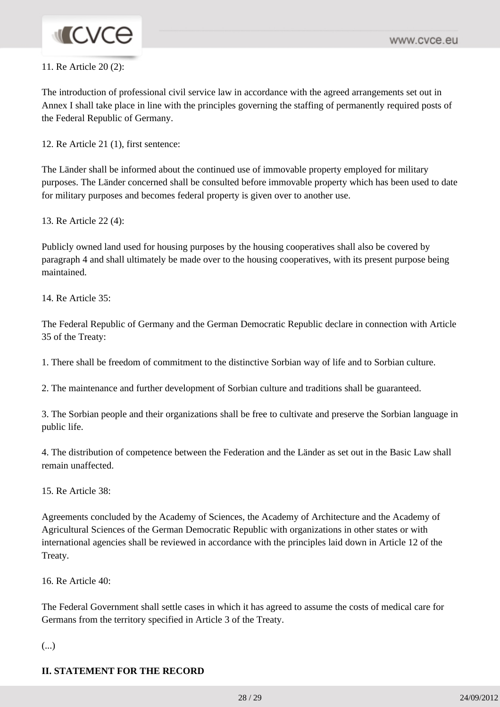# 11. Re Article 20 (2):

**INCVCO** 

The introduction of professional civil service law in accordance with the agreed arrangements set out in Annex I shall take place in line with the principles governing the staffing of permanently required posts of the Federal Republic of Germany.

12. Re Article 21 (1), first sentence:

The Länder shall be informed about the continued use of immovable property employed for military purposes. The Länder concerned shall be consulted before immovable property which has been used to date for military purposes and becomes federal property is given over to another use.

13. Re Article 22 (4):

Publicly owned land used for housing purposes by the housing cooperatives shall also be covered by paragraph 4 and shall ultimately be made over to the housing cooperatives, with its present purpose being maintained.

14. Re Article 35:

The Federal Republic of Germany and the German Democratic Republic declare in connection with Article 35 of the Treaty:

1. There shall be freedom of commitment to the distinctive Sorbian way of life and to Sorbian culture.

2. The maintenance and further development of Sorbian culture and traditions shall be guaranteed.

3. The Sorbian people and their organizations shall be free to cultivate and preserve the Sorbian language in public life.

4. The distribution of competence between the Federation and the Länder as set out in the Basic Law shall remain unaffected.

15. Re Article 38:

Agreements concluded by the Academy of Sciences, the Academy of Architecture and the Academy of Agricultural Sciences of the German Democratic Republic with organizations in other states or with international agencies shall be reviewed in accordance with the principles laid down in Article 12 of the Treaty.

16. Re Article 40:

The Federal Government shall settle cases in which it has agreed to assume the costs of medical care for Germans from the territory specified in Article 3 of the Treaty.

(...)

#### **II. STATEMENT FOR THE RECORD**